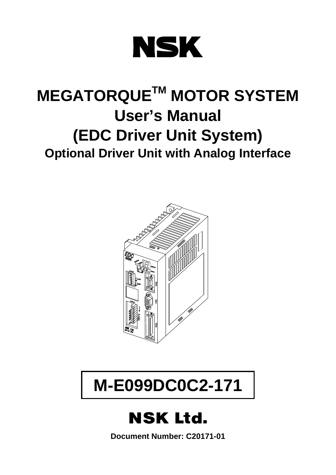

# **MEGATORQUETM MOTOR SYSTEM User's Manual (EDC Driver Unit System) Optional Driver Unit with Analog Interface**



# **M-E099DC0C2-171**

# **NSK Ltd.**

**Document Number: C20171-01**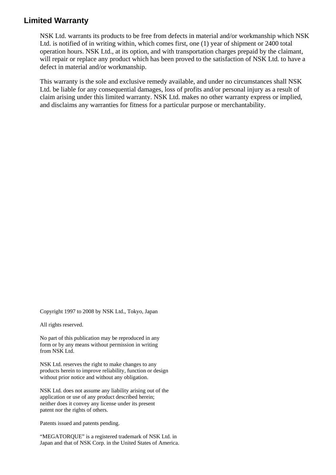### **Limited Warranty**

NSK Ltd. warrants its products to be free from defects in material and/or workmanship which NSK Ltd. is notified of in writing within, which comes first, one (1) year of shipment or 2400 total operation hours. NSK Ltd., at its option, and with transportation charges prepaid by the claimant, will repair or replace any product which has been proved to the satisfaction of NSK Ltd. to have a defect in material and/or workmanship.

This warranty is the sole and exclusive remedy available, and under no circumstances shall NSK Ltd. be liable for any consequential damages, loss of profits and/or personal injury as a result of claim arising under this limited warranty. NSK Ltd. makes no other warranty express or implied, and disclaims any warranties for fitness for a particular purpose or merchantability.

Copyright 1997 to 2008 by NSK Ltd., Tokyo, Japan

All rights reserved.

No part of this publication may be reproduced in any form or by any means without permission in writing from NSK Ltd.

NSK Ltd. reserves the right to make changes to any products herein to improve reliability, function or design without prior notice and without any obligation.

NSK Ltd. does not assume any liability arising out of the application or use of any product described herein; neither does it convey any license under its present patent nor the rights of others.

Patents issued and patents pending.

"MEGATORQUE" is a registered trademark of NSK Ltd. in Japan and that of NSK Corp. in the United States of America.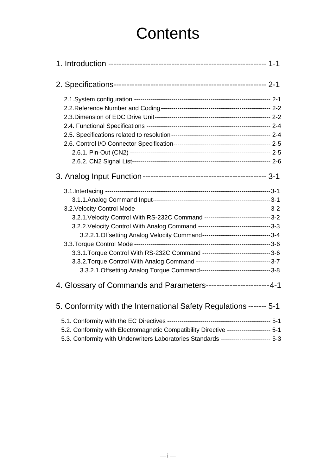# **Contents**

| 3.2.1. Velocity Control With RS-232C Command -------------------------------3-2       |  |
|---------------------------------------------------------------------------------------|--|
| 3.2.2. Velocity Control With Analog Command -----------------------------------3-3    |  |
| 3.2.2.1. Offsetting Analog Velocity Command---------------------------------3-4       |  |
|                                                                                       |  |
| 3.3.1. Torque Control With RS-232C Command ---------------------------------3-6       |  |
|                                                                                       |  |
| 3.3.2.1. Offsetting Analog Torque Command----------------------------------3-8        |  |
| 4. Glossary of Commands and Parameters-----------------------4-1                      |  |
| 5. Conformity with the International Safety Regulations ------- 5-1                   |  |
|                                                                                       |  |
| 5-2. Conformity with Electromagnetic Compatibility Directive -------------------- 5-1 |  |
| 5-3. Conformity with Underwriters Laboratories Standards ----------------------- 5-3  |  |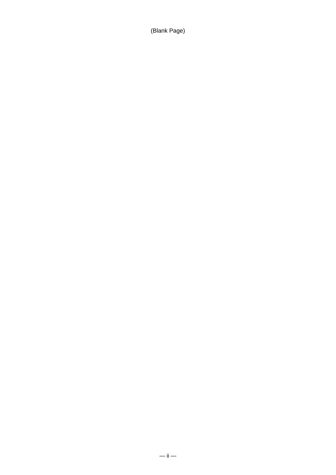(Blank Page)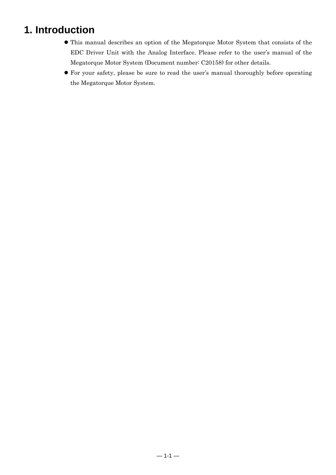## **1. Introduction**

- $\bullet$  This manual describes an option of the Megatorque Motor System that consists of the EDC Driver Unit with the Analog Interface. Please refer to the user's manual of the Megatorque Motor System (Document number: C20158) for other details.
- For your safety, please be sure to read the user's manual thoroughly before operating the Megatorque Motor System.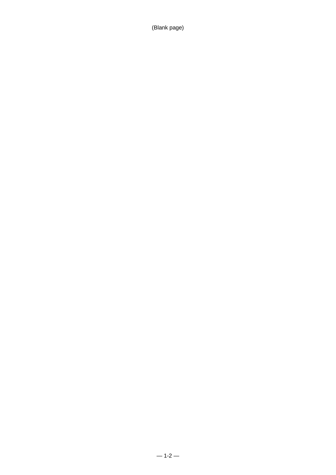(Blank page)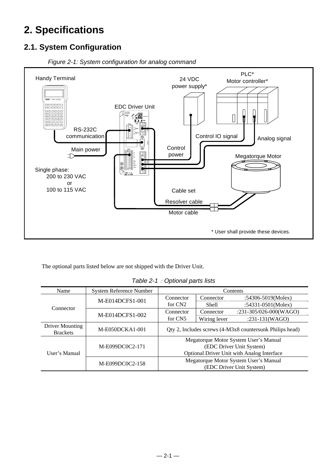# **2. Specifications**

## **2.1. System Configuration**



*Figure 2-1: System configuration for analog command* 

The optional parts listed below are not shipped with the Driver Unit.

| Name            | <b>System Reference Number</b> |                                                          |              | Contents                              |  |
|-----------------|--------------------------------|----------------------------------------------------------|--------------|---------------------------------------|--|
|                 | M-E014DCFS1-001                | Connector                                                | Connector    | :54306-5019(Molex)                    |  |
| Connector       |                                | for CN <sub>2</sub>                                      | Shell        | :54331-0501(Molex)                    |  |
|                 | M-E014DCFS1-002                | Connector                                                | Connector    | :231-305/026-000(WAGO)                |  |
|                 |                                | for CN5                                                  | Wiring lever | $: 231 - 131(WAGO)$                   |  |
| Driver Mounting | M-E050DCKA1-001                | Qty 2, Includes screws (4-M3x8 countersunk Philips head) |              |                                       |  |
| <b>Brackets</b> |                                |                                                          |              |                                       |  |
|                 |                                |                                                          |              | Megatorque Motor System User's Manual |  |
|                 | M-E099DC0C2-171                | (EDC Driver Unit System)                                 |              |                                       |  |
| User's Manual   |                                | Optional Driver Unit with Analog Interface               |              |                                       |  |
|                 |                                | Megatorque Motor System User's Manual                    |              |                                       |  |
|                 | M-E099DC0C2-158                | (EDC Driver Unit System)                                 |              |                                       |  |

 *Table 2-1*:*Optional parts lists*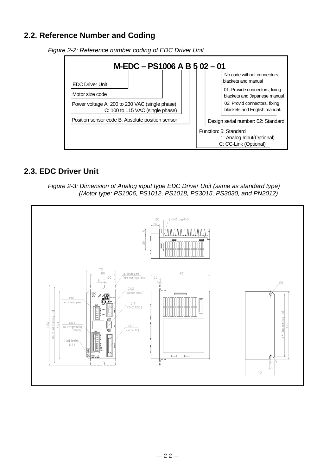## **2.2. Reference Number and Coding**



*Figure 2-2: Reference number coding of EDC Driver Unit* 

### **2.3. EDC Driver Unit**

*Figure 2-3: Dimension of Analog input type EDC Driver Unit (same as standard type) (Motor type: PS1006, PS1012, PS1018, PS3015, PS3030, and PN2012)* 

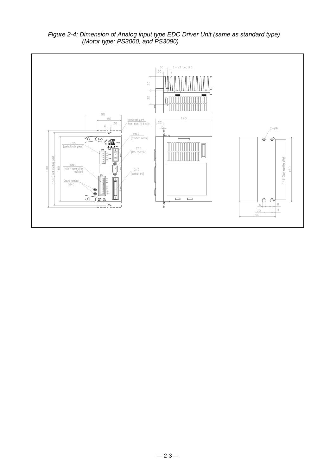

#### *Figure 2-4: Dimension of Analog input type EDC Driver Unit (same as standard type) (Motor type: PS3060, and PS3090)*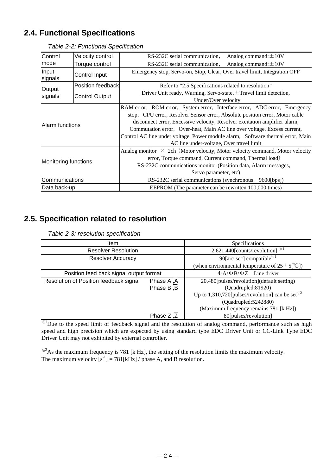## **2.4. Functional Specifications**

| Control              | Velocity control      | RS-232C serial communication,<br>Analog command: $\pm 10V$                                                                                                                                                                                                                                                                                                                                                                                         |
|----------------------|-----------------------|----------------------------------------------------------------------------------------------------------------------------------------------------------------------------------------------------------------------------------------------------------------------------------------------------------------------------------------------------------------------------------------------------------------------------------------------------|
| mode                 | Torque control        | RS-232C serial communication,<br>Analog command: $\pm 10V$                                                                                                                                                                                                                                                                                                                                                                                         |
| Input<br>signals     | Control Input         | Emergency stop, Servo-on, Stop, Clear, Over travel limit, Integration OFF                                                                                                                                                                                                                                                                                                                                                                          |
|                      | Position feedback     | Refer to "2.5. Specifications related to resolution"                                                                                                                                                                                                                                                                                                                                                                                               |
| Output<br>signals    | <b>Control Output</b> | Driver Unit ready, Warning, Servo-state, $\pm$ Travel limit detection,<br>Under/Over velocity                                                                                                                                                                                                                                                                                                                                                      |
| Alarm functions      |                       | RAM error, ROM error, System error, Interface error, ADC error, Emergency<br>stop, CPU error, Resolver Sensor error, Absolute position error, Motor cable<br>disconnect error, Excessive velocity, Resolver excitation amplifier alarm,<br>Commutation error, Over-heat, Main AC line over voltage, Excess current,<br>Control AC line under voltage, Power module alarm, Software thermal error, Main<br>AC line under-voltage, Over travel limit |
| Monitoring functions |                       | Analog monitor $\times$ 2ch (Motor velocity, Motor velocity command, Motor velocity<br>error, Torque command, Current command, Thermal load)<br>RS-232C communications monitor (Position data, Alarm messages,<br>Servo parameter, etc)                                                                                                                                                                                                            |
| Communications       |                       | RS-232C serial communications (synchronous, 9600[bps])                                                                                                                                                                                                                                                                                                                                                                                             |
| Data back-up         |                       | EEPROM (The parameter can be rewritten 100,000 times)                                                                                                                                                                                                                                                                                                                                                                                              |

*Table 2-2: Functional Specification* 

## **2.5. Specification related to resolution**

*Table 2-3: resolution specification*

| <b>Item</b>                             |            | Specifications                                         |
|-----------------------------------------|------------|--------------------------------------------------------|
| <b>Resolver Resolution</b>              |            | 2,621,440[counts/revolution] $*1$                      |
| <b>Resolver Accuracy</b>                |            | 90[arc-sec] compatible <sup><math>*1</math></sup>      |
|                                         |            | (when environmental temperature of $25 \pm 5$ [°C])    |
| Position feed back signal output format |            | $\Phi A/\Phi B/\Phi Z$ Line driver                     |
| Resolution of Position feedback signal  | Phase A, A | 20,480[pulses/revolution](default setting)             |
|                                         | Phase B, B | (Quadrupled:81920)                                     |
|                                         |            | Up to 1,310,720 [pulses/revolution] can be set $*^{2}$ |
|                                         |            | (Quadrupled: 5242880)                                  |
|                                         |            | (Maximum frequency remains 781 [k Hz])                 |
|                                         | Phase Z, Z | 80[pulses/revolution]                                  |

※1 Due to the speed limit of feedback signal and the resolution of analog command, performance such as high speed and high precision which are expected by using standard type EDC Driver Unit or CC-Link Type EDC Driver Unit may not exhibited by external controller.

 $*^{2}$ As the maximum frequency is 781 [k Hz], the setting of the resolution limits the maximum velocity. The maximum velocity  $[s^{-1}]$  = 781[kHz] / phase A, and B resolution.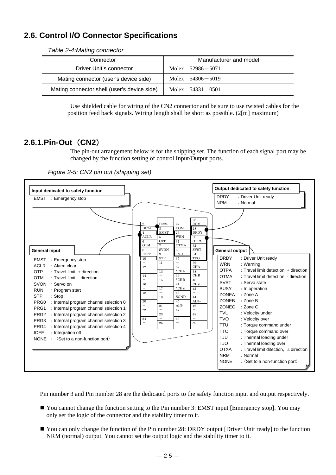## **2.6. Control I/O Connector Specifications**

| Connector                                   | Manufacturer and model |
|---------------------------------------------|------------------------|
| Driver Unit's connector                     | Molex $52986 - 5071$   |
| Mating connector (user's device side)       | Molex $54306 - 5019$   |
| Mating connector shell (user's device side) | Molex $54331 - 0501$   |

*Table 2-4:Mating connector* 

Use shielded cable for wiring of the CN2 connector and be sure to use twisted cables for the position feed back signals. Wiring length shall be short as possible. (2[m] maximum)

## **2.6.1.Pin-Out**(**CN2**)

The pin-out arrangement below is for the shipping set. The function of each signal port may be changed by the function setting of control Input/Output ports.

*Figure 2-5: CN2 pin out (shipping set)* 



Pin number 3 and Pin number 28 are the dedicated ports to the safety function input and output respectively.

- You cannot change the function setting to the Pin number 3: EMST input [Emergency stop]. You may only set the logic of the connector and the stability timer to it.
- You can only change the function of the Pin number 28: DRDY output [Driver Unit ready] to the function NRM (normal) output. You cannot set the output logic and the stability timer to it.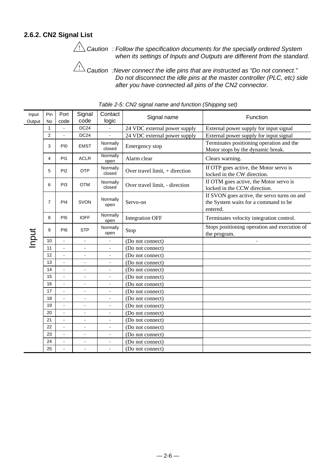### **2.6.2. CN2 Signal List**

! *Caution : Follow the specification documents for the specially ordered System when its settings of Inputs and Outputs are different from the standard.* 

! *Caution :Never connect the idle pins that are instructed as "Do not connect." Do not disconnect the idle pins at the master controller (PLC, etc) side after you have connected all pins of the CN2 connector.* 

| Input  | Pin            | Port            | Signal                   | Contact                  | Signal name                      | Function                                                                                        |
|--------|----------------|-----------------|--------------------------|--------------------------|----------------------------------|-------------------------------------------------------------------------------------------------|
| Output | No             | code            | code                     | logic                    |                                  |                                                                                                 |
|        | $\mathbf{1}$   |                 | <b>DC24</b>              |                          | 24 VDC external power supply     | External power supply for input signal                                                          |
|        | $\overline{2}$ |                 | <b>DC24</b>              |                          | 24 VDC external power supply     | External power supply for input signal                                                          |
|        | 3              | P10             | <b>EMST</b>              | Normally<br>closed       | Emergency stop                   | Terminates positioning operation and the<br>Motor stops by the dynamic break.                   |
|        | 4              | PI1             | <b>ACLR</b>              | Normally<br>open         | Alarm clear                      | Clears warning.                                                                                 |
|        | 5              | PI2             | <b>OTP</b>               | Normally<br>closed       | Over travel limit, $+$ direction | If OTP goes active, the Motor servo is<br>locked in the CW direction.                           |
|        | 6              | P <sub>13</sub> | <b>OTM</b>               | Normally<br>closed       | Over travel limit, - direction   | If OTM goes active, the Motor servo is<br>locked in the CCW direction.                          |
|        | 7              | PI4             | SVON                     | Normally<br>open         | Servo-on                         | If SVON goes active, the servo turns on and<br>the System waits for a command to be<br>entered. |
|        | 8              | P <sub>15</sub> | <b>IOFF</b>              | Normally<br>open         | <b>Integration OFF</b>           | Terminates velocity integration control.                                                        |
| Input  | 9              | P <sub>16</sub> | <b>STP</b>               | Normally<br>open         | Stop                             | Stops positioning operation and execution of<br>the program.                                    |
|        | 10             | $\overline{a}$  | L,                       |                          | (Do not connect)                 |                                                                                                 |
|        | 11             | L,              | $\blacksquare$           | ٠                        | (Do not connect)                 |                                                                                                 |
|        | 12             | L,              | $\blacksquare$           | ÷.                       | (Do not connect)                 |                                                                                                 |
|        | 13             | $\blacksquare$  |                          |                          | (Do not connect)                 |                                                                                                 |
|        | 14             | ÷.              |                          |                          | (Do not connect)                 |                                                                                                 |
|        | 15             | L.              |                          |                          | (Do not connect)                 |                                                                                                 |
|        | 16             | $\blacksquare$  | $\overline{\phantom{a}}$ | $\overline{\phantom{a}}$ | (Do not connect)                 |                                                                                                 |
|        | 17             | L,              |                          | $\blacksquare$           | (Do not connect)                 |                                                                                                 |
|        | 18             | $\blacksquare$  |                          | ä,                       | (Do not connect)                 |                                                                                                 |
|        | 19             | L.              |                          | $\blacksquare$           | (Do not connect)                 |                                                                                                 |
|        | 20             |                 |                          |                          | (Do not connect)                 |                                                                                                 |
|        | 21             | $\blacksquare$  | $\blacksquare$           | ٠                        | (Do not connect)                 |                                                                                                 |
|        | 22             | L.              | L.                       |                          | (Do not connect)                 |                                                                                                 |
|        | 23             | $\blacksquare$  | ä,                       | ÷,                       | (Do not connect)                 |                                                                                                 |
|        | 24             | $\overline{a}$  |                          |                          | (Do not connect)                 |                                                                                                 |
|        | 25             |                 |                          |                          | (Do not connect)                 |                                                                                                 |

*Table 2-5: CN2 signal name and function (Shipping set)*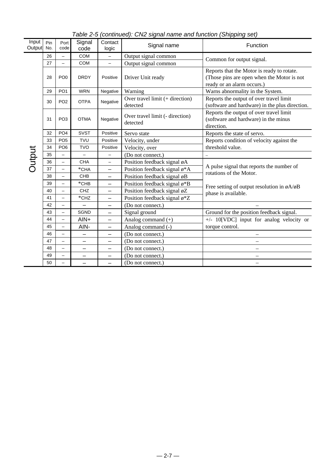| Input<br>Output | Pin<br>No. | Port<br>code             | Signal<br>code           | Contact<br>logic         | $\frac{1}{2}$ of $\frac{1}{2}$ of $\frac{1}{2}$ or $\frac{1}{2}$ or $\frac{1}{2}$ or $\frac{1}{2}$ or $\frac{1}{2}$ or $\frac{1}{2}$ or $\frac{1}{2}$ or $\frac{1}{2}$ or $\frac{1}{2}$ or $\frac{1}{2}$ or $\frac{1}{2}$ or $\frac{1}{2}$ or $\frac{1}{2}$ or $\frac{1}{2}$ or $\frac{1}{2}$ or<br>Signal name | Function                                                                                                               |
|-----------------|------------|--------------------------|--------------------------|--------------------------|-----------------------------------------------------------------------------------------------------------------------------------------------------------------------------------------------------------------------------------------------------------------------------------------------------------------|------------------------------------------------------------------------------------------------------------------------|
|                 | 26         | $\qquad \qquad -$        | COM                      |                          | Output signal common                                                                                                                                                                                                                                                                                            |                                                                                                                        |
|                 | 27         | $\overline{a}$           | COM                      |                          | Output signal common                                                                                                                                                                                                                                                                                            | Common for output signal.                                                                                              |
|                 | 28         | PO <sub>0</sub>          | <b>DRDY</b>              | Positive                 | Driver Unit ready                                                                                                                                                                                                                                                                                               | Reports that the Motor is ready to rotate.<br>(Those pins are open when the Motor is not<br>ready or an alarm occurs.) |
|                 | 29         | PO <sub>1</sub>          | <b>WRN</b>               | Negative                 | Warning                                                                                                                                                                                                                                                                                                         | Warns abnormality in the System.                                                                                       |
|                 | 30         | PO <sub>2</sub>          | <b>OTPA</b>              | Negative                 | Over travel limit (+ direction)<br>detected                                                                                                                                                                                                                                                                     | Reports the output of over travel limit<br>(software and hardware) in the plus direction.                              |
|                 | 31         | PO <sub>3</sub>          | <b>OTMA</b>              | Negative                 | Over travel limit (- direction)<br>detected                                                                                                                                                                                                                                                                     | Reports the output of over travel limit<br>(software and hardware) in the minus<br>direction.                          |
|                 | 32         | PO <sub>4</sub>          | <b>SVST</b>              | Positive                 | Servo state                                                                                                                                                                                                                                                                                                     | Reports the state of servo.                                                                                            |
|                 | 33         | PO <sub>5</sub>          | <b>TVU</b>               | Positive                 | Velocity, under                                                                                                                                                                                                                                                                                                 | Reports condition of velocity against the                                                                              |
|                 | 34         | PO <sub>6</sub>          | <b>TVO</b>               | Positive                 | Velocity, over                                                                                                                                                                                                                                                                                                  | threshold value.                                                                                                       |
| Output          | 35         | $\overline{\phantom{0}}$ | $\overline{\phantom{0}}$ |                          | (Do not connect.)                                                                                                                                                                                                                                                                                               |                                                                                                                        |
|                 | 36         | $\overline{\phantom{0}}$ | <b>CHA</b>               | $\overline{\phantom{0}}$ | Position feedback signal øA                                                                                                                                                                                                                                                                                     |                                                                                                                        |
|                 | 37         | $\qquad \qquad -$        | *CHA                     | $\qquad \qquad -$        | Position feedback signal $\phi^* A$                                                                                                                                                                                                                                                                             | A pulse signal that reports the number of<br>rotations of the Motor.                                                   |
|                 | 38         | $\equiv$                 | CHB                      | —                        | Position feedback signal øB                                                                                                                                                                                                                                                                                     |                                                                                                                        |
|                 | 39         | $\overline{\phantom{0}}$ | $*$ CHB                  | —                        | Position feedback signal $\phi^*B$                                                                                                                                                                                                                                                                              | Free setting of output resolution in $\phi A/\phi B$                                                                   |
|                 | 40         | -                        | CHZ                      | $\overline{\phantom{0}}$ | Position feedback signal øZ                                                                                                                                                                                                                                                                                     | phase is available.                                                                                                    |
|                 | 41         | $\overline{\phantom{0}}$ | *CHZ                     | —                        | Position feedback signal ø*Z                                                                                                                                                                                                                                                                                    |                                                                                                                        |
|                 | 42         | $\overline{\phantom{0}}$ |                          | —                        | (Do not connect.)                                                                                                                                                                                                                                                                                               |                                                                                                                        |
|                 | 43         | $\qquad \qquad -$        | SGND                     | —                        | Signal ground                                                                                                                                                                                                                                                                                                   | Ground for the position feedback signal.                                                                               |
|                 | 44         | $\overline{\phantom{0}}$ | AIN+                     | —                        | Analog command (+)                                                                                                                                                                                                                                                                                              | $+/- 10$ [VDC] input for analog velocity or                                                                            |
|                 | 45         | $\overline{\phantom{0}}$ | AIN-                     | —                        | Analog command (-)                                                                                                                                                                                                                                                                                              | torque control.                                                                                                        |
|                 | 46         | $\overline{\phantom{0}}$ | $\overline{\phantom{0}}$ | $\qquad \qquad -$        | (Do not connect.)                                                                                                                                                                                                                                                                                               | $\qquad \qquad -$                                                                                                      |
|                 | 47         | $\overline{\phantom{0}}$ | $\overline{\phantom{0}}$ | —                        | (Do not connect.)                                                                                                                                                                                                                                                                                               |                                                                                                                        |
|                 | 48         | $\overline{\phantom{0}}$ |                          |                          | (Do not connect.)                                                                                                                                                                                                                                                                                               |                                                                                                                        |
|                 | 49         | $\qquad \qquad -$        | —                        | -                        | (Do not connect.)                                                                                                                                                                                                                                                                                               |                                                                                                                        |
|                 | 50         | $\overline{\phantom{0}}$ |                          | —                        | (Do not connect.)                                                                                                                                                                                                                                                                                               |                                                                                                                        |

*Table 2-5 (continued): CN2 signal name and function (Shipping set)*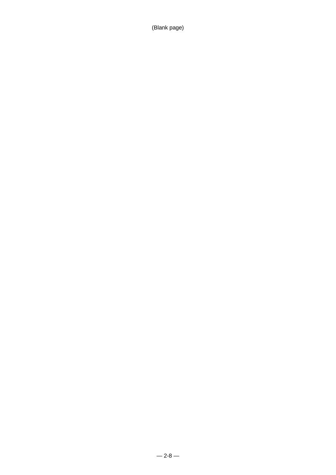(Blank page)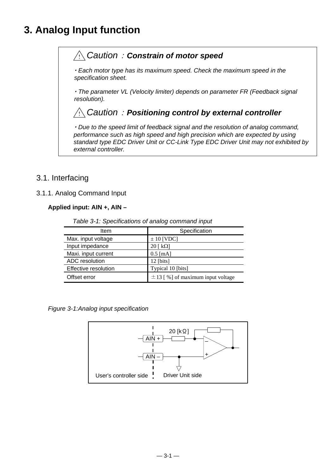## **3. Analog Input function**

## ! *Caution*:*Constrain of motor speed*

・*Each motor type has its maximum speed. Check the maximum speed in the specification sheet.* 

・*The parameter VL (Velocity limiter) depends on parameter FR (Feedback signal resolution).* 

! *Caution*:*Positioning control by external controller* 

・*Due to the speed limit of feedback signal and the resolution of analog command, performance such as high speed and high precision which are expected by using standard type EDC Driver Unit or CC-Link Type EDC Driver Unit may not exhibited by external controller.* 

### 3.1. Interfacing

#### 3.1.1. Analog Command Input

#### **Applied input: AIN +, AIN –**

*Table 3-1: Specifications of analog command input* 

| Item                 | Specification                         |
|----------------------|---------------------------------------|
| Max. input voltage   | $\pm 10$ [VDC]                        |
| Input impedance      | $20 [ k\Omega ]$                      |
| Maxi. input current  | $0.5$ [mA]                            |
| ADC resolution       | 12 [bits]                             |
| Effective resolution | Typical 10 [bits]                     |
| Offset error         | $\pm$ 13 [%] of maximum input voltage |

*Figure 3-1:Analog input specification* 

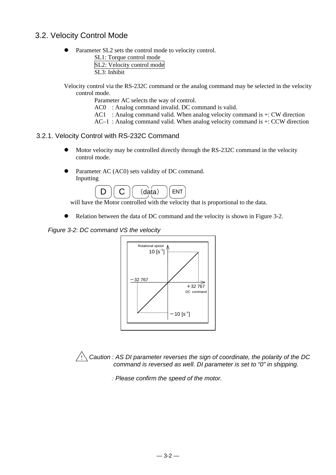## 3.2. Velocity Control Mode

Parameter SL2 sets the control mode to velocity control.

SL1: Torque control mode SL2: Velocity control mode SL3: Inhibit

Velocity control via the RS-232C command or the analog command may be selected in the velocity control mode.

Parameter AC selects the way of control.

AC0 : Analog command invalid. DC command is valid.

- AC1 : Analog command valid. When analog velocity command is +: CW direction
- $AC-1$ : Analog command valid. When analog velocity command is  $\div$ : CCW direction

#### 3.2.1. Velocity Control with RS-232C Command

- Motor velocity may be controlled directly through the RS-232C command in the velocity control mode.
- Parameter AC (AC0) sets validity of DC command. Inputting



will have the Motor controlled with the velocity that is proportional to the data.

• Relation between the data of DC command and the velocity is shown in Figure 3-2.

*Figure 3-2: DC command VS the velocity* 



 $1$  Caution : AS DI parameter reverses the sign of coordinate, the polarity of the DC *command is reversed as well. DI parameter is set to "0" in shipping.* 

:*Please confirm the speed of the motor.*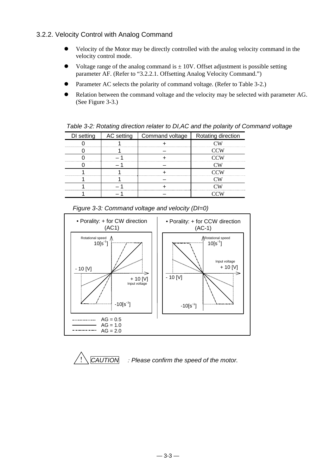#### 3.2.2. Velocity Control with Analog Command

- Velocity of the Motor may be directly controlled with the analog velocity command in the velocity control mode.
- $\bullet$  Voltage range of the analog command is  $\pm$  10V. Offset adjustment is possible setting parameter AF. (Refer to "3.2.2.1. Offsetting Analog Velocity Command.")
- Parameter AC selects the polarity of command voltage. (Refer to Table 3-2.)
- Relation between the command voltage and the velocity may be selected with parameter AG. (See Figure 3-3.)

*Table 3-2: Rotating direction relater to DI,AC and the polarity of Command voltage* 

|  | DI setting   AC setting   Command voltage   Rotating direction |     |
|--|----------------------------------------------------------------|-----|
|  |                                                                |     |
|  |                                                                | ~CW |
|  |                                                                |     |
|  |                                                                |     |
|  |                                                                |     |
|  |                                                                |     |
|  |                                                                |     |
|  |                                                                |     |



*Figure 3-3: Command voltage and velocity (DI=0)* 

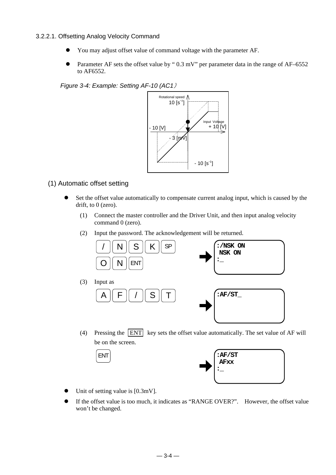#### 3.2.2.1. Offsetting Analog Velocity Command

- You may adjust offset value of command voltage with the parameter AF.
- Parameter AF sets the offset value by "0.3 mV" per parameter data in the range of AF–6552 to AF6552.

*Figure 3-4: Example: Setting AF-10 (AC1*)



#### (1) Automatic offset setting

- Set the offset value automatically to compensate current analog input, which is caused by the drift, to 0 (zero).
	- (1) Connect the master controller and the Driver Unit, and then input analog velocity command 0 (zero).
	- (2) Input the password. The acknowledgement will be returned.



(4) Pressing the ENT key sets the offset value automatically. The set value of AF will be on the screen.





- Unit of setting value is  $[0.3mV]$ .
- If the offset value is too much, it indicates as "RANGE OVER?". However, the offset value won't be changed.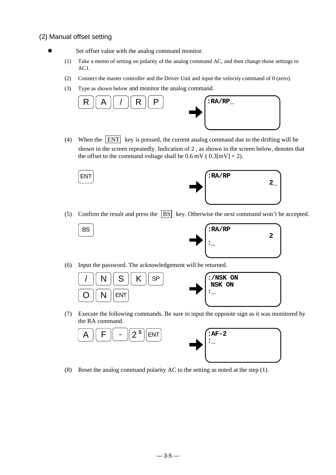#### (2) Manual offset setting

- Set offset value with the analog command monitor.
	- (1) Take a memo of setting on polarity of the analog command AC, and then change those settings to AC1.
	- (2) Connect the master controller and the Driver Unit and input the velocity command of 0 (zero).
	- (3) Type as shown below and monitor the analog command.



(4) When the  $\boxed{\text{ENT}}$  key is pressed, the current analog command due to the drifting will be shown in the screen repeatedly. Indication of 2 , as shown in the screen below, denotes that the offset to the command voltage shall be 0.6 mV ( $0.3$ [mV]  $\times$  2).



(5) Confirm the result and press the **BS** key. Otherwise the next command won't be accepted.



ENT



(6) Input the password. The acknowledgement will be returned.





(7) Execute the following commands. Be sure to input the opposite sign as it was monitored by the RA command.



(8) Reset the analog command polarity AC to the setting as noted at the step (1).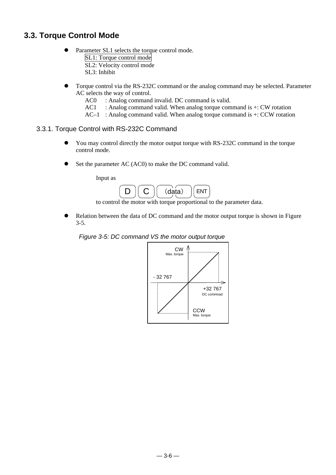## **3.3. Torque Control Mode**

- Parameter SL1 selects the torque control mode. SL1: Torque control mode SL2: Velocity control mode
	- SL3: Inhibit
- Torque control via the RS-232C command or the analog command may be selected. Parameter AC selects the way of control.
	- AC0 : Analog command invalid. DC command is valid.
	- AC1 : Analog command valid. When analog torque command is +: CW rotation
	- AC–1 : Analog command valid. When analog torque command is +: CCW rotation
- 3.3.1. Torque Control with RS-232C Command
	- You may control directly the motor output torque with RS-232C command in the torque control mode.
	- Set the parameter AC (AC0) to make the DC command valid.

Input as



to control the motor with torque proportional to the parameter data.

• Relation between the data of DC command and the motor output torque is shown in Figure 3-5.

*Figure 3-5: DC command VS the motor output torque* 

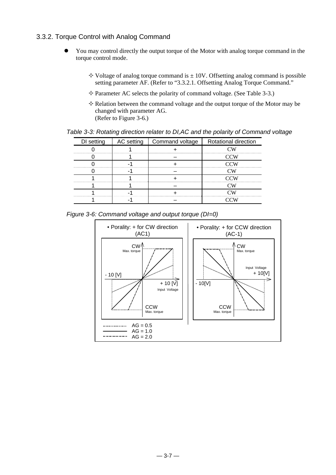#### 3.3.2. Torque Control with Analog Command

- You may control directly the output torque of the Motor with analog torque command in the torque control mode.
	- $\Diamond$  Voltage of analog torque command is  $\pm$  10V. Offsetting analog command is possible setting parameter AF. (Refer to "3.3.2.1. Offsetting Analog Torque Command."
	- $\Diamond$  Parameter AC selects the polarity of command voltage. (See Table 3-3.)
	- $\Diamond$  Relation between the command voltage and the output torque of the Motor may be changed with parameter AG. (Refer to Figure 3-6.)

DI setting | AC setting | Command voltage | Rotational direction 0 | 1 | + | CW 0 1 1 – CCW 0 | -1 | + | CCW 0 | -1 | – | CW 1 1 | + CCW 1 | 1 | – | CW 1 -1 + CW 1 -1 – CCW

*Table 3-3: Rotating direction relater to DI,AC and the polarity of Command voltage* 



*Figure 3-6: Command voltage and output torque (DI=0)*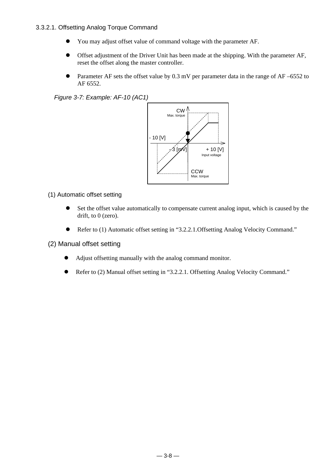#### 3.3.2.1. Offsetting Analog Torque Command

- You may adjust offset value of command voltage with the parameter AF.
- Offset adjustment of the Driver Unit has been made at the shipping. With the parameter AF, reset the offset along the master controller.
- Parameter AF sets the offset value by 0.3 mV per parameter data in the range of AF –6552 to AF 6552.

*Figure 3-7: Example: AF-10 (AC1)* 



#### (1) Automatic offset setting

- Set the offset value automatically to compensate current analog input, which is caused by the drift, to 0 (zero).
- Refer to (1) Automatic offset setting in "3.2.2.1.Offsetting Analog Velocity Command."

(2) Manual offset setting

- Adjust offsetting manually with the analog command monitor.
- Refer to (2) Manual offset setting in "3.2.2.1. Offsetting Analog Velocity Command."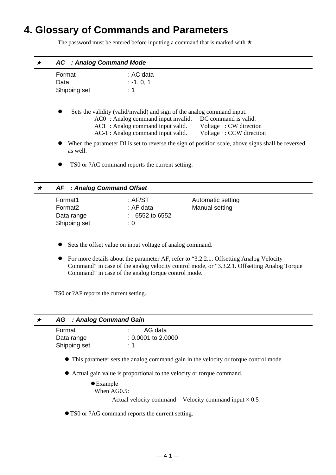## **4. Glossary of Commands and Parameters**

The password must be entered before inputting a command that is marked with  $\star$ .

| Format       | : AC data    |  |
|--------------|--------------|--|
| Data         | $: -1, 0, 1$ |  |
| Shipping set | : 1          |  |

- AC1 : Analog command input valid. Voltage +: CW direction AC-1 : Analog command input valid. Voltage +: CCW direction
- When the parameter DI is set to reverse the sign of position scale, above signs shall be reversed as well.
- TS0 or ?AC command reports the current setting.

| $\star$ |  |  | <b>AF</b> : Analog Command Offset |  |
|---------|--|--|-----------------------------------|--|
|---------|--|--|-----------------------------------|--|

| Format1             | : AF/ST           | Automatic setting |
|---------------------|-------------------|-------------------|
| Format <sub>2</sub> | : AF data         | Manual setting    |
| Data range          | $: -6552$ to 6552 |                   |
| Shipping set        | : 0               |                   |

- Sets the offset value on input voltage of analog command.
- For more details about the parameter AF, refer to "3.2.2.1. Offsetting Analog Velocity Command" in case of the analog velocity control mode, or "3.3.2.1. Offsetting Analog Torque Command" in case of the analog torque control mode.

TS0 or ?AF reports the current setting.

| $\star$ | <b>AG</b> : Analog Command Gain      |                                 |  |  |  |
|---------|--------------------------------------|---------------------------------|--|--|--|
|         | Format<br>Data range<br>Shipping set | AG data<br>$: 0.0001$ to 2.0000 |  |  |  |

- This parameter sets the analog command gain in the velocity or torque control mode.
- Actual gain value is proportional to the velocity or torque command.

 $\bullet$  Example When AG0.5:

Actual velocity command = Velocity command input  $\times$  0.5

• TS0 or ?AG command reports the current setting.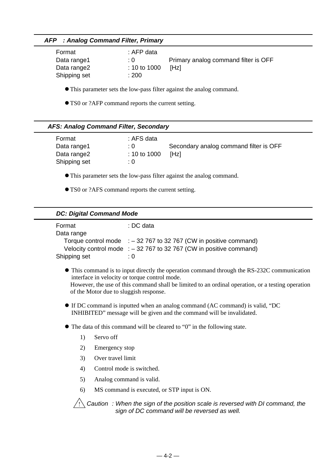#### *AFP : Analog Command Filter, Primary*

| Format       | : AFP data   |                                      |
|--------------|--------------|--------------------------------------|
| Data range1  | $\pm 0$      | Primary analog command filter is OFF |
| Data range2  | : 10 to 1000 | [Hz]                                 |
| Shipping set | : 200        |                                      |

- $\bullet$  This parameter sets the low-pass filter against the analog command.
- TS0 or ?AFP command reports the current setting.

#### *AFS: Analog Command Filter, Secondary*

| Format       | : AFS data   |                                        |
|--------------|--------------|----------------------------------------|
| Data range1  | $\pm 0$      | Secondary analog command filter is OFF |
| Data range2  | : 10 to 1000 | [Hz]                                   |
| Shipping set | $\pm 0$      |                                        |

- $\bullet$  This parameter sets the low-pass filter against the analog command.
- TS0 or ?AFS command reports the current setting.

#### *DC: Digital Command Mode*

| Format       | : DC data                                                                    |
|--------------|------------------------------------------------------------------------------|
| Data range   |                                                                              |
|              | Torque control mode $\therefore$ - 32 767 to 32 767 (CW in positive command) |
|              | Velocity control mode $: -32767$ to 32767 (CW in positive command)           |
| Shipping set | : 0                                                                          |

- This command is to input directly the operation command through the RS-232C communication interface in velocity or torque control mode. However, the use of this command shall be limited to an ordinal operation, or a testing operation of the Motor due to sluggish response.
- z If DC command is inputted when an analog command (AC command) is valid, "DC INHIBITED" message will be given and the command will be invalidated.
- The data of this command will be cleared to "0" in the following state.
	- 1) Servo off
	- 2) Emergency stop
	- 3) Over travel limit
	- 4) Control mode is switched.
	- 5) Analog command is valid.
	- 6) MS command is executed, or STP input is ON.



 $\sqrt{!}$  Caution : When the sign of the position scale is reversed with DI command, the *sign of DC command will be reversed as well.*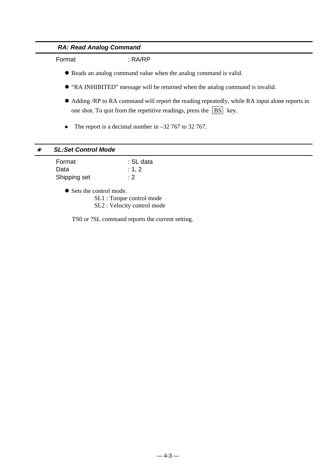#### *RA: Read Analog Command*

Format : RA/RP

- $\bullet$  Reads an analog command value when the analog command is valid.
- z "RA INHIBITED" message will be returned when the analog command is invalid.
- z Adding /RP to RA command will report the reading repeatedly, while RA input alone reports in one shot. To quit from the repetitive readings, press the  $\overline{BS}$  key.
- The report is a decimal number in  $-32,767$  to  $32,767$ .

| $\star$ | <b>SL:Set Control Mode</b>  |           |  |
|---------|-----------------------------|-----------|--|
|         | Format                      | : SL data |  |
|         | Data                        | : $1, 2$  |  |
|         | Shipping set                | : 2       |  |
|         | • Sets the control mode.    |           |  |
|         | SL1 : Torque control mode   |           |  |
|         | SL2 : Velocity control mode |           |  |

TS0 or ?SL command reports the current setting.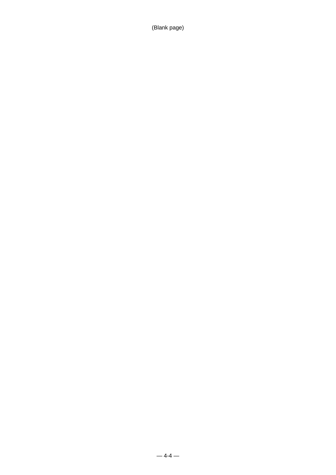(Blank page)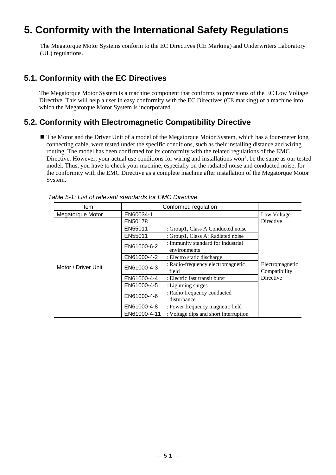## **5. Conformity with the International Safety Regulations**

The Megatorque Motor Systems conform to the EC Directives (CE Marking) and Underwriters Laboratory (UL) regulations.

## **5.1. Conformity with the EC Directives**

The Megatorque Motor System is a machine component that conforms to provisions of the EC Low Voltage Directive. This will help a user in easy conformity with the EC Directives (CE marking) of a machine into which the Megatorque Motor System is incorporated.

## **5.2. Conformity with Electromagnetic Compatibility Directive**

■ The Motor and the Driver Unit of a model of the Megatorque Motor System, which has a four-meter long connecting cable, were tested under the specific conditions, such as their installing distance and wiring routing. The model has been confirmed for its conformity with the related regulations of the EMC Directive. However, your actual use conditions for wiring and installations won't be the same as our tested model. Thus, you have to check your machine, especially on the radiated noise and conducted noise, for the conformity with the EMC Directive as a complete machine after installation of the Megatorque Motor System.

| ltem                | Conformed regulation |                                                    |                                                      |
|---------------------|----------------------|----------------------------------------------------|------------------------------------------------------|
| Megatorque Motor    | EN60034-1            | Low Voltage                                        |                                                      |
|                     | EN50178              |                                                    | <b>Directive</b>                                     |
|                     | EN55011              | : Group1, Class A Conducted noise                  |                                                      |
|                     | EN55011              | : Group1, Class A: Radiated noise                  |                                                      |
|                     | EN61000-6-2          | : Immunity standard for industrial<br>environments | Electromagnetic<br>Compatibility<br><b>Directive</b> |
|                     | EN61000-4-2          | : Electro static discharge                         |                                                      |
| Motor / Driver Unit | EN61000-4-3          | : Radio-frequency electromagnetic<br>field         |                                                      |
|                     | EN61000-4-4          | : Electric fast transit burst                      |                                                      |
|                     | EN61000-4-5          | : Lightning surges                                 |                                                      |
|                     | EN61000-4-6          | : Radio frequency conducted<br>disturbance         |                                                      |
|                     | EN61000-4-8          | : Power frequency magnetic field                   |                                                      |
|                     | EN61000-4-11         | : Voltage dips and short interruption              |                                                      |

*Table 5-1: List of relevant standards for EMC Directive*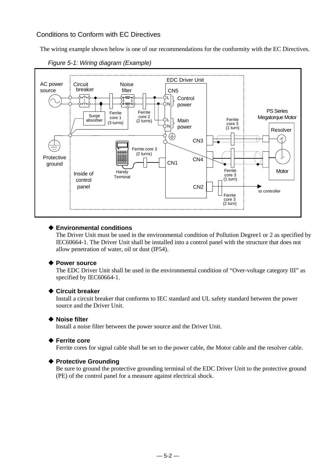The wiring example shown below is one of our recommendations for the conformity with the EC Directives.





#### **Environmental conditions**

The Driver Unit must be used in the environmental condition of Pollution Degree1 or 2 as specified by IEC60664-1. The Driver Unit shall be installed into a control panel with the structure that does not allow penetration of water, oil or dust (IP54).

#### ◆ Power source

The EDC Driver Unit shall be used in the environmental condition of "Over-voltage category III" as specified by IEC60664-1.

#### **Circuit breaker**

Install a circuit breaker that conforms to IEC standard and UL safety standard between the power source and the Driver Unit.

#### ◆ Noise filter

Install a noise filter between the power source and the Driver Unit.

#### ◆ Ferrite core

Ferrite cores for signal cable shall be set to the power cable, the Motor cable and the resolver cable.

#### **Protective Grounding**

Be sure to ground the protective grounding terminal of the EDC Driver Unit to the protective ground (PE) of the control panel for a measure against electrical shock.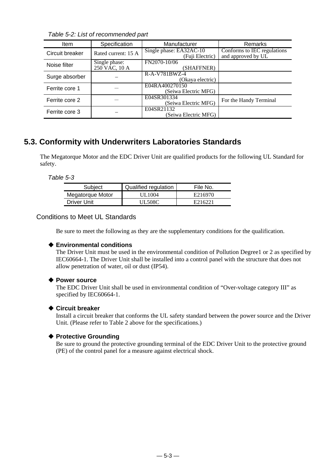| <b>Item</b>     | Specification                  | Manufacturer                               | Remarks                                           |
|-----------------|--------------------------------|--------------------------------------------|---------------------------------------------------|
| Circuit breaker | Rated current: 15 A            | Single phase: EA32AC-10<br>(Fuji Electric) | Conforms to IEC regulations<br>and approved by UL |
| Noise filter    | Single phase:<br>250 VÁC, 10 A | FN2070-10/06<br>(SHAFFNER)                 |                                                   |
| Surge absorber  |                                | R-A-V781BWZ-4<br>(Okaya electric)          |                                                   |
| Ferrite core 1  |                                | E04RA400270150<br>(Seiwa Electric MFG)     |                                                   |
| Ferrite core 2  |                                | E04SR301334<br>(Seiwa Electric MFG)        | For the Handy Terminal                            |
| Ferrite core 3  |                                | E04SR21132<br>(Seiwa Electric MFG)         |                                                   |

*Table 5-2: List of recommended part* 

## **5.3. Conformity with Underwriters Laboratories Standards**

The Megatorque Motor and the EDC Driver Unit are qualified products for the following UL Standard for safety.

*Table 5-3* 

| Subject          | Qualified regulation | File No. |
|------------------|----------------------|----------|
| Megatorque Motor | UL 1004              | E216970  |
| Driver Unit      | <b>TH 508C</b>       | F216221  |

#### Conditions to Meet UL Standards

Be sure to meet the following as they are the supplementary conditions for the qualification.

#### **Environmental conditions**

The Driver Unit must be used in the environmental condition of Pollution Degree1 or 2 as specified by IEC60664-1. The Driver Unit shall be installed into a control panel with the structure that does not allow penetration of water, oil or dust (IP54).

#### **Power source**

The EDC Driver Unit shall be used in environmental condition of "Over-voltage category III" as specified by IEC60664-1.

#### **Circuit breaker**

Install a circuit breaker that conforms the UL safety standard between the power source and the Driver Unit. (Please refer to Table 2 above for the specifications.)

#### **Protective Grounding**

Be sure to ground the protective grounding terminal of the EDC Driver Unit to the protective ground (PE) of the control panel for a measure against electrical shock.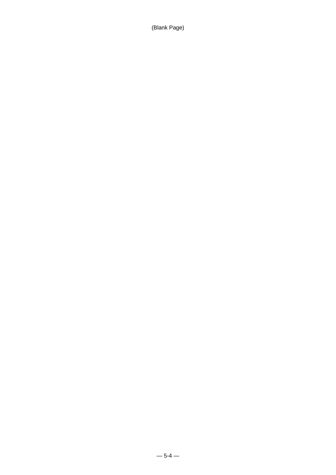(Blank Page)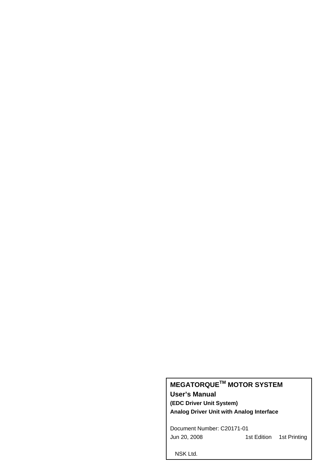## **MEGATORQUETM MOTOR SYSTEM User's Manual (EDC Driver Unit System) Analog Driver Unit with Analog Interface**

Document Number: C20171-01 Jun 20, 2008 1st Edition 1st Printing

NSK Ltd.